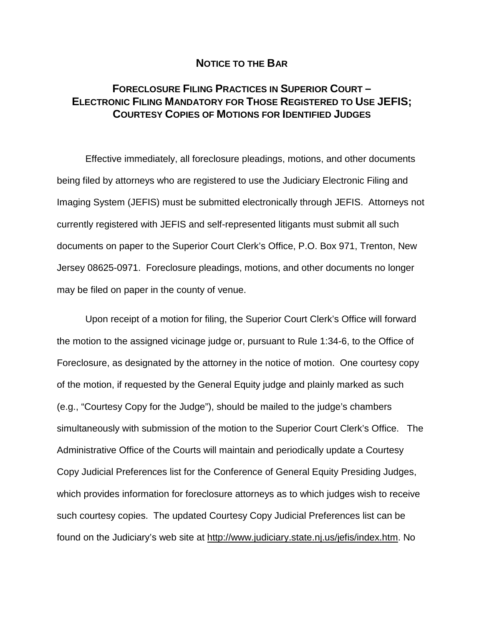## **NOTICE TO THE BAR**

## **FORECLOSURE FILING PRACTICES IN SUPERIOR COURT – ELECTRONIC FILING MANDATORY FOR THOSE REGISTERED TO USE JEFIS; COURTESY COPIES OF MOTIONS FOR IDENTIFIED JUDGES**

Effective immediately, all foreclosure pleadings, motions, and other documents being filed by attorneys who are registered to use the Judiciary Electronic Filing and Imaging System (JEFIS) must be submitted electronically through JEFIS. Attorneys not currently registered with JEFIS and self-represented litigants must submit all such documents on paper to the Superior Court Clerk's Office, P.O. Box 971, Trenton, New Jersey 08625-0971. Foreclosure pleadings, motions, and other documents no longer may be filed on paper in the county of venue.

Upon receipt of a motion for filing, the Superior Court Clerk's Office will forward the motion to the assigned vicinage judge or, pursuant to Rule 1:34-6, to the Office of Foreclosure, as designated by the attorney in the notice of motion. One courtesy copy of the motion, if requested by the General Equity judge and plainly marked as such (e.g., "Courtesy Copy for the Judge"), should be mailed to the judge's chambers simultaneously with submission of the motion to the Superior Court Clerk's Office. The Administrative Office of the Courts will maintain and periodically update a Courtesy Copy Judicial Preferences list for the Conference of General Equity Presiding Judges, which provides information for foreclosure attorneys as to which judges wish to receive such courtesy copies. The updated Courtesy Copy Judicial Preferences list can be found on the Judiciary's web site at [http://www.judiciary.state.nj.us/jefis/index.htm.](http://www.judiciary.state.nj.us/jefis/index.htm) No